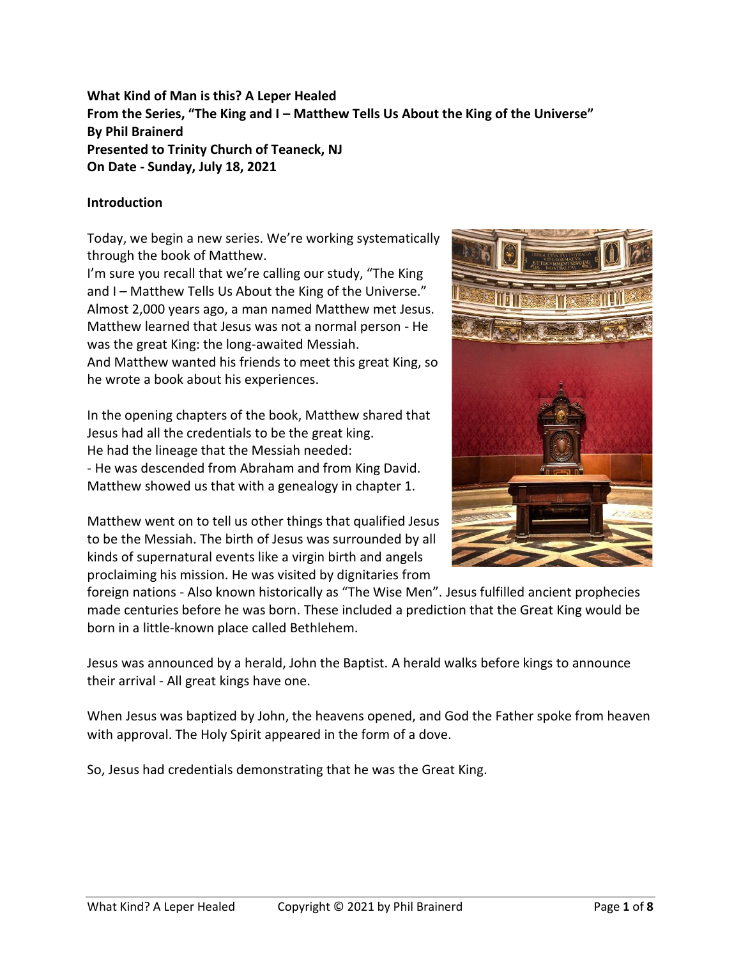**What Kind of Man is this? A Leper Healed From the Series, "The King and I – Matthew Tells Us About the King of the Universe" By Phil Brainerd Presented to Trinity Church of Teaneck, NJ On Date - Sunday, July 18, 2021**

## **Introduction**

Today, we begin a new series. We're working systematically through the book of Matthew.

I'm sure you recall that we're calling our study, "The King and I – Matthew Tells Us About the King of the Universe." Almost 2,000 years ago, a man named Matthew met Jesus. Matthew learned that Jesus was not a normal person - He was the great King: the long-awaited Messiah. And Matthew wanted his friends to meet this great King, so he wrote a book about his experiences.

In the opening chapters of the book, Matthew shared that Jesus had all the credentials to be the great king. He had the lineage that the Messiah needed: - He was descended from Abraham and from King David. Matthew showed us that with a genealogy in chapter 1.

Matthew went on to tell us other things that qualified Jesus to be the Messiah. The birth of Jesus was surrounded by all kinds of supernatural events like a virgin birth and angels proclaiming his mission. He was visited by dignitaries from



foreign nations - Also known historically as "The Wise Men". Jesus fulfilled ancient prophecies made centuries before he was born. These included a prediction that the Great King would be born in a little-known place called Bethlehem.

Jesus was announced by a herald, John the Baptist. A herald walks before kings to announce their arrival - All great kings have one.

When Jesus was baptized by John, the heavens opened, and God the Father spoke from heaven with approval. The Holy Spirit appeared in the form of a dove.

So, Jesus had credentials demonstrating that he was the Great King.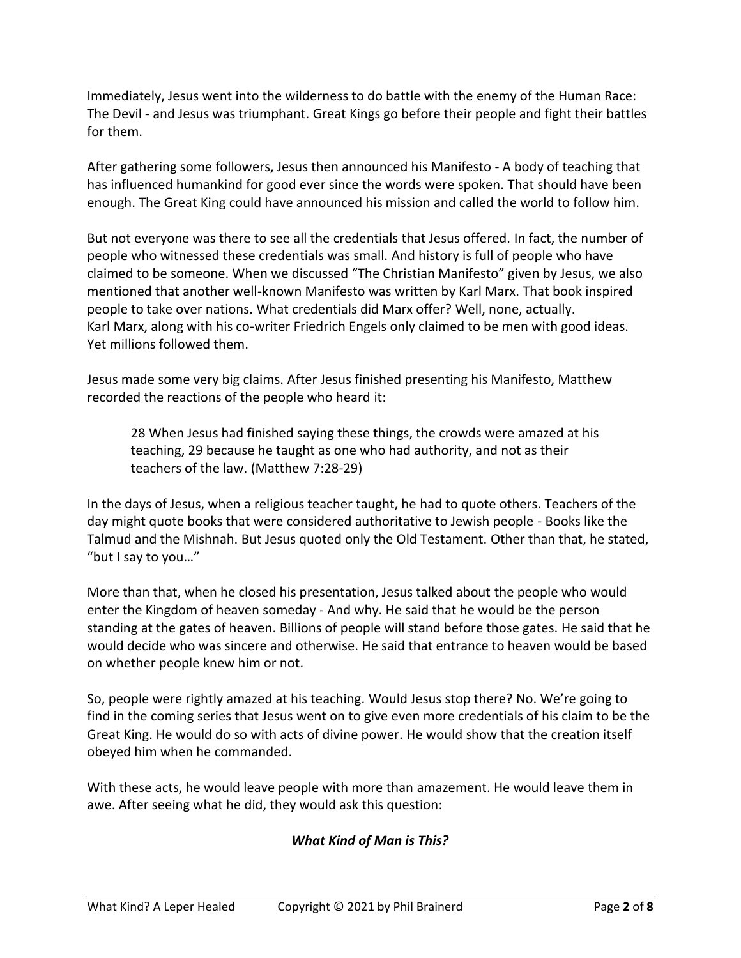Immediately, Jesus went into the wilderness to do battle with the enemy of the Human Race: The Devil - and Jesus was triumphant. Great Kings go before their people and fight their battles for them.

After gathering some followers, Jesus then announced his Manifesto - A body of teaching that has influenced humankind for good ever since the words were spoken. That should have been enough. The Great King could have announced his mission and called the world to follow him.

But not everyone was there to see all the credentials that Jesus offered. In fact, the number of people who witnessed these credentials was small. And history is full of people who have claimed to be someone. When we discussed "The Christian Manifesto" given by Jesus, we also mentioned that another well-known Manifesto was written by Karl Marx. That book inspired people to take over nations. What credentials did Marx offer? Well, none, actually. Karl Marx, along with his co-writer Friedrich Engels only claimed to be men with good ideas. Yet millions followed them.

Jesus made some very big claims. After Jesus finished presenting his Manifesto, Matthew recorded the reactions of the people who heard it:

28 When Jesus had finished saying these things, the crowds were amazed at his teaching, 29 because he taught as one who had authority, and not as their teachers of the law. (Matthew 7:28-29)

In the days of Jesus, when a religious teacher taught, he had to quote others. Teachers of the day might quote books that were considered authoritative to Jewish people - Books like the Talmud and the Mishnah. But Jesus quoted only the Old Testament. Other than that, he stated, "but I say to you…"

More than that, when he closed his presentation, Jesus talked about the people who would enter the Kingdom of heaven someday - And why. He said that he would be the person standing at the gates of heaven. Billions of people will stand before those gates. He said that he would decide who was sincere and otherwise. He said that entrance to heaven would be based on whether people knew him or not.

So, people were rightly amazed at his teaching. Would Jesus stop there? No. We're going to find in the coming series that Jesus went on to give even more credentials of his claim to be the Great King. He would do so with acts of divine power. He would show that the creation itself obeyed him when he commanded.

With these acts, he would leave people with more than amazement. He would leave them in awe. After seeing what he did, they would ask this question:

# *What Kind of Man is This?*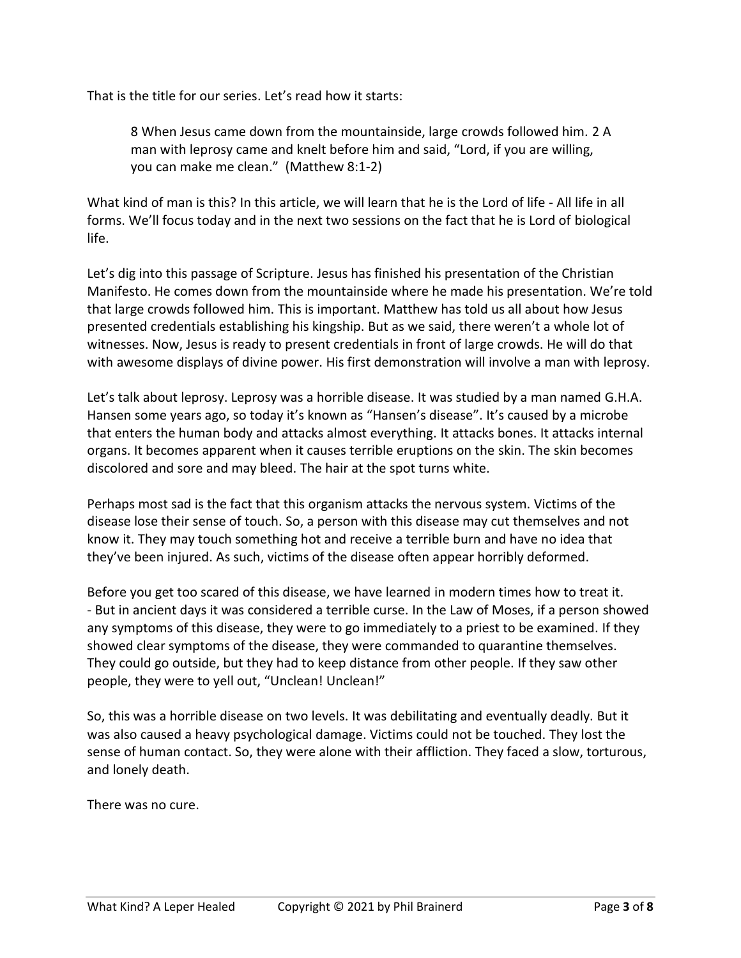That is the title for our series. Let's read how it starts:

8 When Jesus came down from the mountainside, large crowds followed him. 2 A man with leprosy came and knelt before him and said, "Lord, if you are willing, you can make me clean." (Matthew 8:1-2)

What kind of man is this? In this article, we will learn that he is the Lord of life - All life in all forms. We'll focus today and in the next two sessions on the fact that he is Lord of biological life.

Let's dig into this passage of Scripture. Jesus has finished his presentation of the Christian Manifesto. He comes down from the mountainside where he made his presentation. We're told that large crowds followed him. This is important. Matthew has told us all about how Jesus presented credentials establishing his kingship. But as we said, there weren't a whole lot of witnesses. Now, Jesus is ready to present credentials in front of large crowds. He will do that with awesome displays of divine power. His first demonstration will involve a man with leprosy.

Let's talk about leprosy. Leprosy was a horrible disease. It was studied by a man named G.H.A. Hansen some years ago, so today it's known as "Hansen's disease". It's caused by a microbe that enters the human body and attacks almost everything. It attacks bones. It attacks internal organs. It becomes apparent when it causes terrible eruptions on the skin. The skin becomes discolored and sore and may bleed. The hair at the spot turns white.

Perhaps most sad is the fact that this organism attacks the nervous system. Victims of the disease lose their sense of touch. So, a person with this disease may cut themselves and not know it. They may touch something hot and receive a terrible burn and have no idea that they've been injured. As such, victims of the disease often appear horribly deformed.

Before you get too scared of this disease, we have learned in modern times how to treat it. - But in ancient days it was considered a terrible curse. In the Law of Moses, if a person showed any symptoms of this disease, they were to go immediately to a priest to be examined. If they showed clear symptoms of the disease, they were commanded to quarantine themselves. They could go outside, but they had to keep distance from other people. If they saw other people, they were to yell out, "Unclean! Unclean!"

So, this was a horrible disease on two levels. It was debilitating and eventually deadly. But it was also caused a heavy psychological damage. Victims could not be touched. They lost the sense of human contact. So, they were alone with their affliction. They faced a slow, torturous, and lonely death.

There was no cure.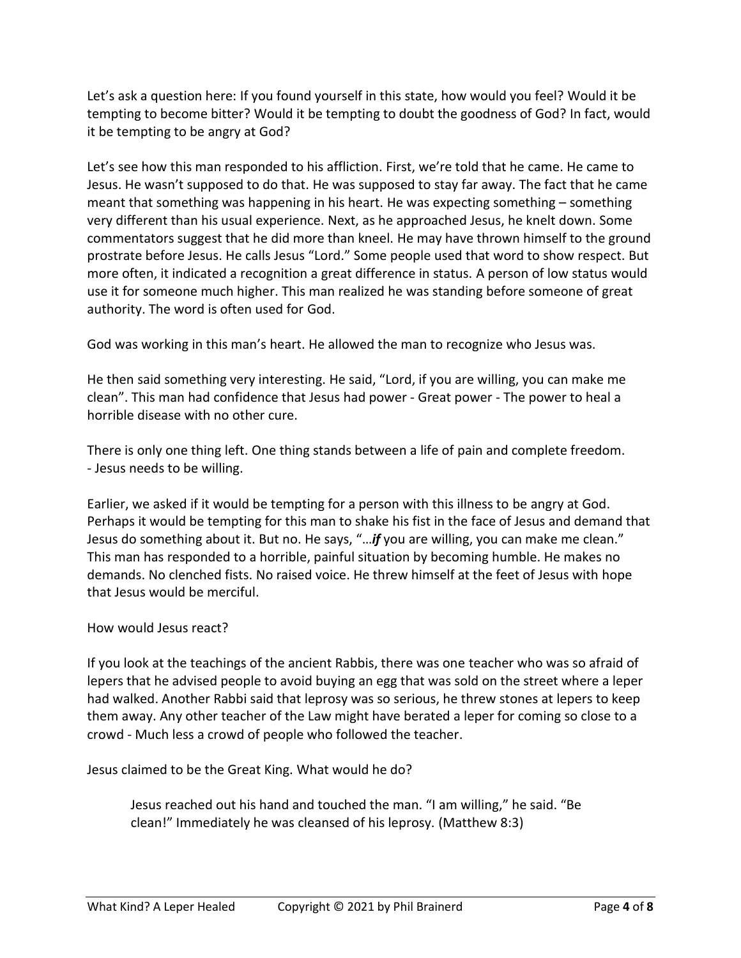Let's ask a question here: If you found yourself in this state, how would you feel? Would it be tempting to become bitter? Would it be tempting to doubt the goodness of God? In fact, would it be tempting to be angry at God?

Let's see how this man responded to his affliction. First, we're told that he came. He came to Jesus. He wasn't supposed to do that. He was supposed to stay far away. The fact that he came meant that something was happening in his heart. He was expecting something – something very different than his usual experience. Next, as he approached Jesus, he knelt down. Some commentators suggest that he did more than kneel. He may have thrown himself to the ground prostrate before Jesus. He calls Jesus "Lord." Some people used that word to show respect. But more often, it indicated a recognition a great difference in status. A person of low status would use it for someone much higher. This man realized he was standing before someone of great authority. The word is often used for God.

God was working in this man's heart. He allowed the man to recognize who Jesus was.

He then said something very interesting. He said, "Lord, if you are willing, you can make me clean". This man had confidence that Jesus had power - Great power - The power to heal a horrible disease with no other cure.

There is only one thing left. One thing stands between a life of pain and complete freedom. - Jesus needs to be willing.

Earlier, we asked if it would be tempting for a person with this illness to be angry at God. Perhaps it would be tempting for this man to shake his fist in the face of Jesus and demand that Jesus do something about it. But no. He says, "…*if* you are willing, you can make me clean." This man has responded to a horrible, painful situation by becoming humble. He makes no demands. No clenched fists. No raised voice. He threw himself at the feet of Jesus with hope that Jesus would be merciful.

#### How would Jesus react?

If you look at the teachings of the ancient Rabbis, there was one teacher who was so afraid of lepers that he advised people to avoid buying an egg that was sold on the street where a leper had walked. Another Rabbi said that leprosy was so serious, he threw stones at lepers to keep them away. Any other teacher of the Law might have berated a leper for coming so close to a crowd - Much less a crowd of people who followed the teacher.

Jesus claimed to be the Great King. What would he do?

Jesus reached out his hand and touched the man. "I am willing," he said. "Be clean!" Immediately he was cleansed of his leprosy. (Matthew 8:3)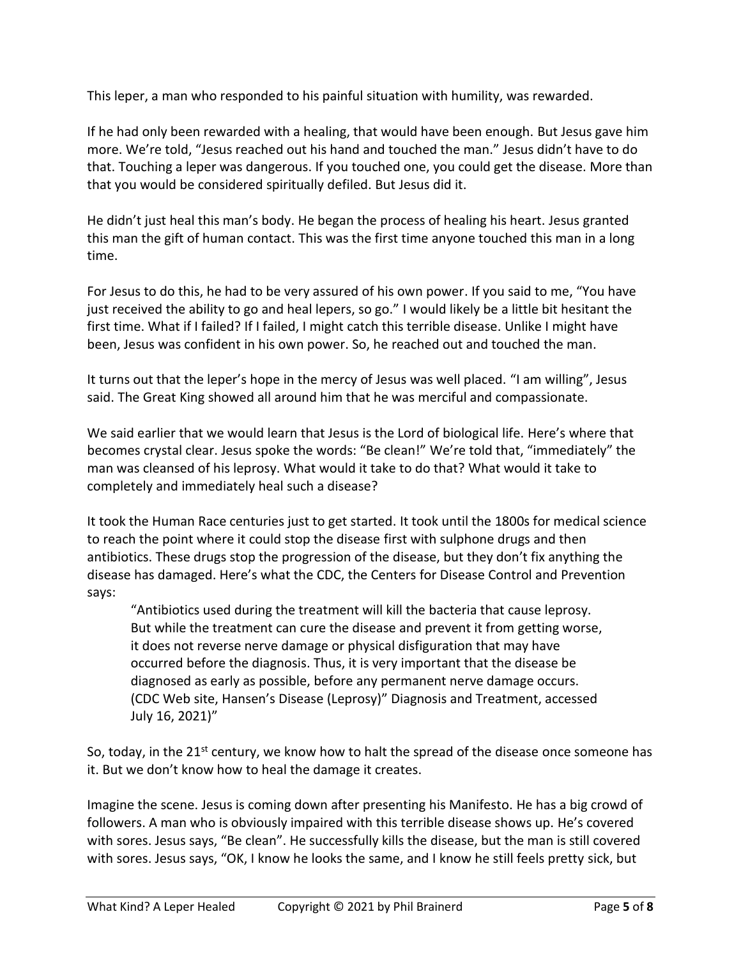This leper, a man who responded to his painful situation with humility, was rewarded.

If he had only been rewarded with a healing, that would have been enough. But Jesus gave him more. We're told, "Jesus reached out his hand and touched the man." Jesus didn't have to do that. Touching a leper was dangerous. If you touched one, you could get the disease. More than that you would be considered spiritually defiled. But Jesus did it.

He didn't just heal this man's body. He began the process of healing his heart. Jesus granted this man the gift of human contact. This was the first time anyone touched this man in a long time.

For Jesus to do this, he had to be very assured of his own power. If you said to me, "You have just received the ability to go and heal lepers, so go." I would likely be a little bit hesitant the first time. What if I failed? If I failed, I might catch this terrible disease. Unlike I might have been, Jesus was confident in his own power. So, he reached out and touched the man.

It turns out that the leper's hope in the mercy of Jesus was well placed. "I am willing", Jesus said. The Great King showed all around him that he was merciful and compassionate.

We said earlier that we would learn that Jesus is the Lord of biological life. Here's where that becomes crystal clear. Jesus spoke the words: "Be clean!" We're told that, "immediately" the man was cleansed of his leprosy. What would it take to do that? What would it take to completely and immediately heal such a disease?

It took the Human Race centuries just to get started. It took until the 1800s for medical science to reach the point where it could stop the disease first with sulphone drugs and then antibiotics. These drugs stop the progression of the disease, but they don't fix anything the disease has damaged. Here's what the CDC, the Centers for Disease Control and Prevention says:

"Antibiotics used during the treatment will kill the bacteria that cause leprosy. But while the treatment can cure the disease and prevent it from getting worse, it does not reverse nerve damage or physical disfiguration that may have occurred before the diagnosis. Thus, it is very important that the disease be diagnosed as early as possible, before any permanent nerve damage occurs. (CDC Web site, Hansen's Disease (Leprosy)" Diagnosis and Treatment, accessed July 16, 2021)"

So, today, in the 21<sup>st</sup> century, we know how to halt the spread of the disease once someone has it. But we don't know how to heal the damage it creates.

Imagine the scene. Jesus is coming down after presenting his Manifesto. He has a big crowd of followers. A man who is obviously impaired with this terrible disease shows up. He's covered with sores. Jesus says, "Be clean". He successfully kills the disease, but the man is still covered with sores. Jesus says, "OK, I know he looks the same, and I know he still feels pretty sick, but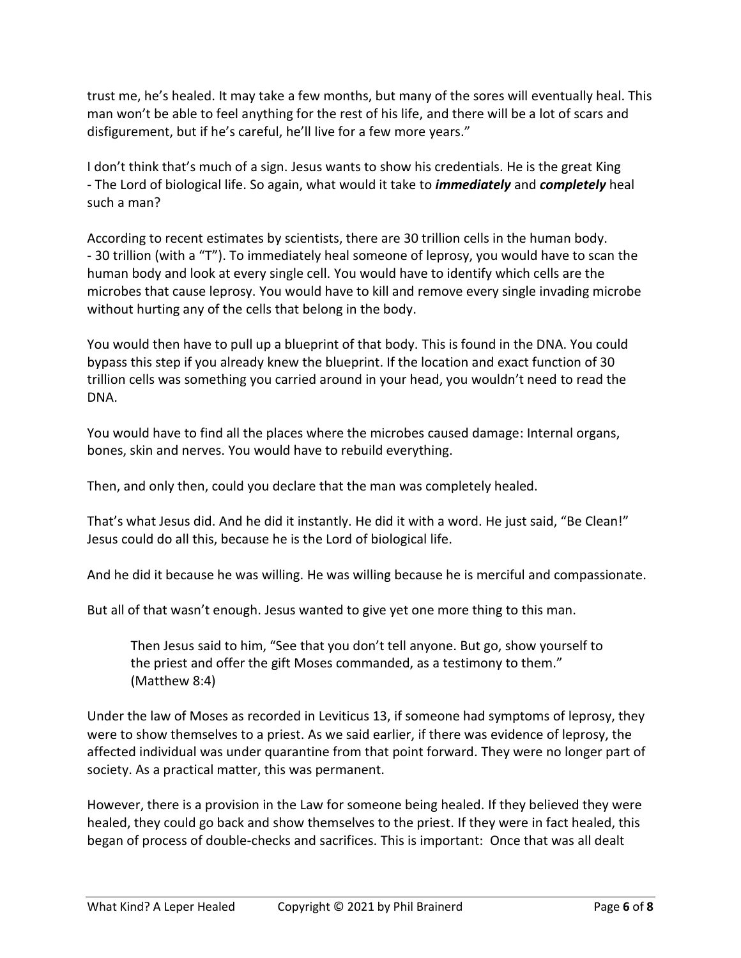trust me, he's healed. It may take a few months, but many of the sores will eventually heal. This man won't be able to feel anything for the rest of his life, and there will be a lot of scars and disfigurement, but if he's careful, he'll live for a few more years."

I don't think that's much of a sign. Jesus wants to show his credentials. He is the great King - The Lord of biological life. So again, what would it take to *immediately* and *completely* heal such a man?

According to recent estimates by scientists, there are 30 trillion cells in the human body. - 30 trillion (with a "T"). To immediately heal someone of leprosy, you would have to scan the human body and look at every single cell. You would have to identify which cells are the microbes that cause leprosy. You would have to kill and remove every single invading microbe without hurting any of the cells that belong in the body.

You would then have to pull up a blueprint of that body. This is found in the DNA. You could bypass this step if you already knew the blueprint. If the location and exact function of 30 trillion cells was something you carried around in your head, you wouldn't need to read the DNA.

You would have to find all the places where the microbes caused damage: Internal organs, bones, skin and nerves. You would have to rebuild everything.

Then, and only then, could you declare that the man was completely healed.

That's what Jesus did. And he did it instantly. He did it with a word. He just said, "Be Clean!" Jesus could do all this, because he is the Lord of biological life.

And he did it because he was willing. He was willing because he is merciful and compassionate.

But all of that wasn't enough. Jesus wanted to give yet one more thing to this man.

Then Jesus said to him, "See that you don't tell anyone. But go, show yourself to the priest and offer the gift Moses commanded, as a testimony to them." (Matthew 8:4)

Under the law of Moses as recorded in Leviticus 13, if someone had symptoms of leprosy, they were to show themselves to a priest. As we said earlier, if there was evidence of leprosy, the affected individual was under quarantine from that point forward. They were no longer part of society. As a practical matter, this was permanent.

However, there is a provision in the Law for someone being healed. If they believed they were healed, they could go back and show themselves to the priest. If they were in fact healed, this began of process of double-checks and sacrifices. This is important: Once that was all dealt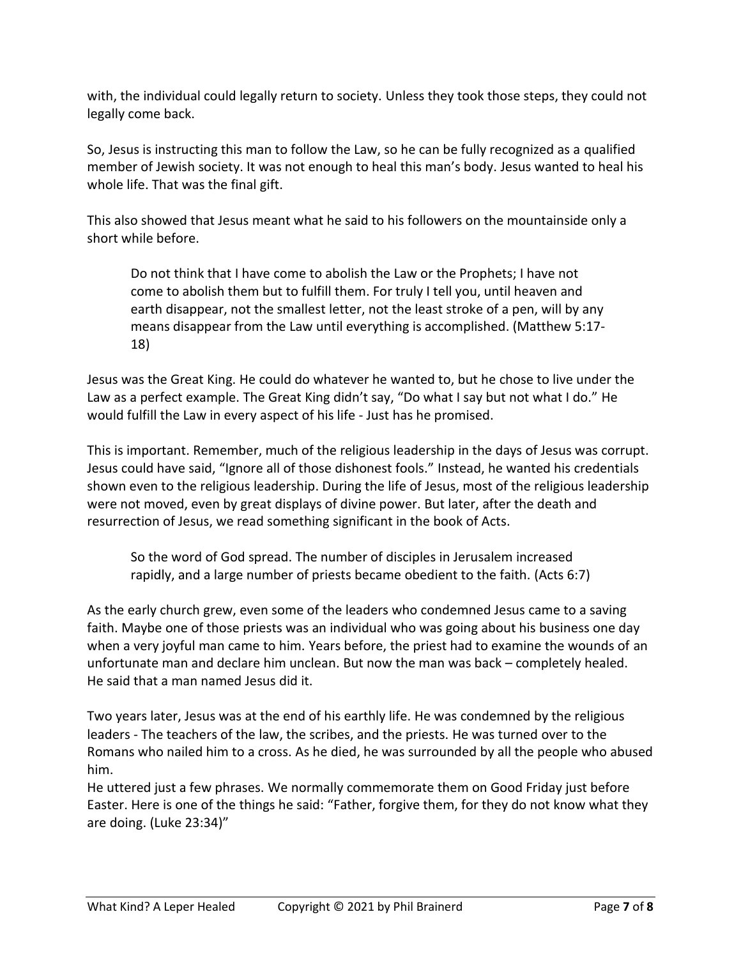with, the individual could legally return to society. Unless they took those steps, they could not legally come back.

So, Jesus is instructing this man to follow the Law, so he can be fully recognized as a qualified member of Jewish society. It was not enough to heal this man's body. Jesus wanted to heal his whole life. That was the final gift.

This also showed that Jesus meant what he said to his followers on the mountainside only a short while before.

Do not think that I have come to abolish the Law or the Prophets; I have not come to abolish them but to fulfill them. For truly I tell you, until heaven and earth disappear, not the smallest letter, not the least stroke of a pen, will by any means disappear from the Law until everything is accomplished. (Matthew 5:17- 18)

Jesus was the Great King. He could do whatever he wanted to, but he chose to live under the Law as a perfect example. The Great King didn't say, "Do what I say but not what I do." He would fulfill the Law in every aspect of his life - Just has he promised.

This is important. Remember, much of the religious leadership in the days of Jesus was corrupt. Jesus could have said, "Ignore all of those dishonest fools." Instead, he wanted his credentials shown even to the religious leadership. During the life of Jesus, most of the religious leadership were not moved, even by great displays of divine power. But later, after the death and resurrection of Jesus, we read something significant in the book of Acts.

So the word of God spread. The number of disciples in Jerusalem increased rapidly, and a large number of priests became obedient to the faith. (Acts 6:7)

As the early church grew, even some of the leaders who condemned Jesus came to a saving faith. Maybe one of those priests was an individual who was going about his business one day when a very joyful man came to him. Years before, the priest had to examine the wounds of an unfortunate man and declare him unclean. But now the man was back – completely healed. He said that a man named Jesus did it.

Two years later, Jesus was at the end of his earthly life. He was condemned by the religious leaders - The teachers of the law, the scribes, and the priests. He was turned over to the Romans who nailed him to a cross. As he died, he was surrounded by all the people who abused him.

He uttered just a few phrases. We normally commemorate them on Good Friday just before Easter. Here is one of the things he said: "Father, forgive them, for they do not know what they are doing. (Luke 23:34)"